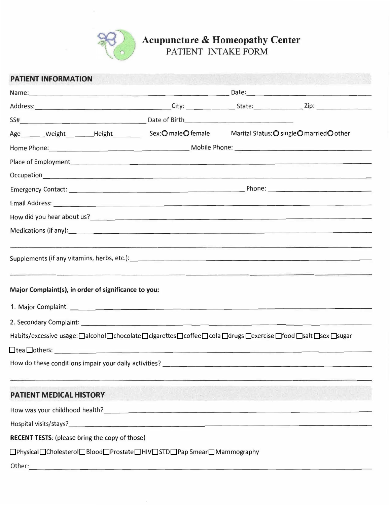

## **Acupuncture & Homeopathy Center**

PATIENT INTAKE FORM

| <b>PATIENT INFORMATION</b>                                                                                                                                                                                                     |                                                                                                                                                                                                                                |                                                                                 |                                            |  |  |  |  |
|--------------------------------------------------------------------------------------------------------------------------------------------------------------------------------------------------------------------------------|--------------------------------------------------------------------------------------------------------------------------------------------------------------------------------------------------------------------------------|---------------------------------------------------------------------------------|--------------------------------------------|--|--|--|--|
|                                                                                                                                                                                                                                | Name: 2008. [2016] Date: 2016. [2016] Date: 2016. [2016] Date: 2016. [2016] Date: 2016. [2016] Date: 2016. [2016] Date: 2016. [2016] Date: 2016. [2016] Date: 2016. [2016] Date: 2016. [2016] Date: 2016. [2016] Date: 2016. [ |                                                                                 |                                            |  |  |  |  |
| Address: 2008. 2012. [2013] City: 2014. [2013] City: 2014. [2014] State: 2014. [2014] Zip: 216. [2014] 2014. [                                                                                                                 |                                                                                                                                                                                                                                |                                                                                 |                                            |  |  |  |  |
|                                                                                                                                                                                                                                |                                                                                                                                                                                                                                |                                                                                 |                                            |  |  |  |  |
| Age________Weight_________Height_____________Sex: O male O female                                                                                                                                                              |                                                                                                                                                                                                                                |                                                                                 | Marital Status: O single O married O other |  |  |  |  |
|                                                                                                                                                                                                                                |                                                                                                                                                                                                                                |                                                                                 |                                            |  |  |  |  |
| Place of Employment 1999 and 2009 and 2009 and 2009 and 2009 and 2009 and 2009 and 2009 and 2009 and 2009 and 2009 and 2009 and 2009 and 2009 and 2009 and 2009 and 2009 and 2009 and 2009 and 2009 and 2009 and 2009 and 2009 |                                                                                                                                                                                                                                |                                                                                 |                                            |  |  |  |  |
|                                                                                                                                                                                                                                |                                                                                                                                                                                                                                |                                                                                 |                                            |  |  |  |  |
|                                                                                                                                                                                                                                |                                                                                                                                                                                                                                |                                                                                 |                                            |  |  |  |  |
| Email Address: <u>Communications and Communications and Communications and Communications and Communications</u>                                                                                                               |                                                                                                                                                                                                                                |                                                                                 |                                            |  |  |  |  |
|                                                                                                                                                                                                                                |                                                                                                                                                                                                                                |                                                                                 |                                            |  |  |  |  |
|                                                                                                                                                                                                                                |                                                                                                                                                                                                                                |                                                                                 |                                            |  |  |  |  |
| Major Complaint(s), in order of significance to you:<br>2. Secondary Complaint: <u>contained a secondary complaint:</u><br>Habits/excessive usage:□alcohol□chocolate□cigarettes□coffee□cola□drugs□exercise□food□salt□sex□sugar |                                                                                                                                                                                                                                |                                                                                 |                                            |  |  |  |  |
| How do these conditions impair your daily activities?                                                                                                                                                                          |                                                                                                                                                                                                                                | the contract of the property of the contract of the contract of the contract of |                                            |  |  |  |  |
| <b>PATIENT MEDICAL HISTORY</b>                                                                                                                                                                                                 |                                                                                                                                                                                                                                |                                                                                 |                                            |  |  |  |  |
| How was your childhood health? The contract of the contract of the contract of the contract of the contract of                                                                                                                 |                                                                                                                                                                                                                                |                                                                                 |                                            |  |  |  |  |
|                                                                                                                                                                                                                                |                                                                                                                                                                                                                                |                                                                                 |                                            |  |  |  |  |
| <b>RECENT TESTS:</b> (please bring the copy of those)                                                                                                                                                                          |                                                                                                                                                                                                                                |                                                                                 |                                            |  |  |  |  |
| □Physical□Cholesterol□Blood□Prostate□HIV□STD□Pap Smear□Mammography                                                                                                                                                             |                                                                                                                                                                                                                                |                                                                                 |                                            |  |  |  |  |
| Other:                                                                                                                                                                                                                         |                                                                                                                                                                                                                                |                                                                                 |                                            |  |  |  |  |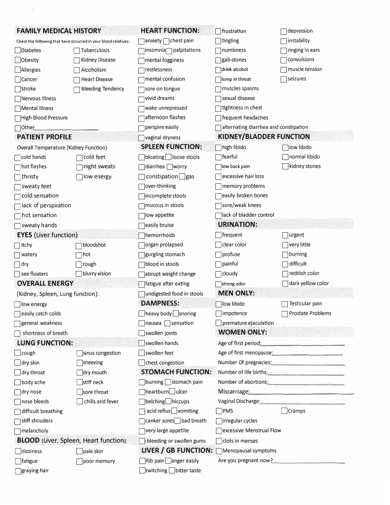| <b>FAMILY MEDICAL HISTORY</b>                |                                                                 | <b>HEART FUNCTION:</b>             | frustration                                                                           | depression                                                                                                                                                                                                                           |
|----------------------------------------------|-----------------------------------------------------------------|------------------------------------|---------------------------------------------------------------------------------------|--------------------------------------------------------------------------------------------------------------------------------------------------------------------------------------------------------------------------------------|
|                                              | Check the following that have occurred in your blood relatives: | anxiety chest pain                 | tingling                                                                              | irritability                                                                                                                                                                                                                         |
| Diabetes                                     | Tuberculosis                                                    | insomnia <sub>n</sub> palpitations | numbness                                                                              | ringing in ears                                                                                                                                                                                                                      |
| Obesity                                      | <b>Kidney Disease</b>                                           | mental fogginess                   | gall-stones                                                                           | convulsions                                                                                                                                                                                                                          |
| Allergies                                    | Alcoholism                                                      | restlessness                       | drink alcohol                                                                         | muscle tension                                                                                                                                                                                                                       |
| Cancer                                       | <b>Heart Disease</b>                                            | mental confusion                   | lump in throat                                                                        | seizures                                                                                                                                                                                                                             |
| Stroke                                       | <b>Bleeding Tendency</b>                                        | sore on tongue                     | muscles spasms                                                                        |                                                                                                                                                                                                                                      |
| Nervous Illness                              |                                                                 | vivid dreams                       | sexual disease                                                                        |                                                                                                                                                                                                                                      |
| Mental Illness                               |                                                                 | wake unrepressed                   | tightness in chest                                                                    |                                                                                                                                                                                                                                      |
| High Blood Pressure                          |                                                                 | afternoon flashes                  | frequent headaches                                                                    |                                                                                                                                                                                                                                      |
| $\Box$ Other                                 |                                                                 | perspire easily                    | alternating diarrhea and constipation                                                 |                                                                                                                                                                                                                                      |
| <b>PATIENT PROFILE</b>                       |                                                                 | vaginal dryness                    | <b>KIDNEY/BLADDER FUNCTION</b>                                                        |                                                                                                                                                                                                                                      |
| <b>Overall Temperature (Kidney Function)</b> |                                                                 | <b>SPLEEN FUNCTION:</b>            | high libido                                                                           | low libido                                                                                                                                                                                                                           |
| $\Box$ cold hands                            | cold feet                                                       | bloating loose stools              | ]fearful                                                                              | normal libido                                                                                                                                                                                                                        |
| hot flashes                                  | night sweats                                                    | diarrhea worry                     | low back pain                                                                         | kidney stones                                                                                                                                                                                                                        |
| $\top$ thristy                               | low energy                                                      | $constitution$ gas                 | excessive hair loss                                                                   |                                                                                                                                                                                                                                      |
| sweaty feet                                  |                                                                 | over-thinking                      | memory problems                                                                       |                                                                                                                                                                                                                                      |
| cold sensation                               |                                                                 | incomplete stools                  | easily broken bones                                                                   |                                                                                                                                                                                                                                      |
| ack of perspiration                          |                                                                 | mucous in stools                   | sore/weak knees                                                                       |                                                                                                                                                                                                                                      |
| $\sqcap$ hot sensation                       |                                                                 | low appetite                       | lack of bladder control                                                               |                                                                                                                                                                                                                                      |
| sweaty hands                                 |                                                                 | easily bruise                      | <b>URINATION:</b>                                                                     |                                                                                                                                                                                                                                      |
| <b>EYES</b> (Liver function)                 |                                                                 | hemorrhoids                        | frequent                                                                              | urgent                                                                                                                                                                                                                               |
| $\sqcap$ itchy                               | bloodshot                                                       | organ prolapsed                    | clear color                                                                           | very little                                                                                                                                                                                                                          |
| watery                                       | hot                                                             | gurgling stomach                   | profuse                                                                               | burning                                                                                                                                                                                                                              |
| $\Box$ dry                                   | rough                                                           | blood in stools                    | ]painful                                                                              | difficult                                                                                                                                                                                                                            |
| see floaters                                 | blurry vision                                                   | abrupt weight change               | $\sqcap$ cloudy                                                                       | reddish color                                                                                                                                                                                                                        |
| <b>OVERALL ENERGY</b>                        |                                                                 | fatigue after eating               | strong odor                                                                           | dark yellow color                                                                                                                                                                                                                    |
| (Kidney, Spleen, Lung function):             |                                                                 | undigested food in stools          | <b>MEN ONLY:</b>                                                                      |                                                                                                                                                                                                                                      |
| low energy                                   |                                                                 | <b>DAMPNESS:</b>                   | low libido                                                                            | Testicular pain                                                                                                                                                                                                                      |
| easily catch colds                           |                                                                 | heavy body snoring                 | impotence                                                                             | <b>Prostate Problems</b>                                                                                                                                                                                                             |
| general weakness                             |                                                                 | nausea sensation                   | premature ejaculation                                                                 |                                                                                                                                                                                                                                      |
| shortness of breath                          |                                                                 | swollen joints                     | <b>WOMEN ONLY:</b>                                                                    |                                                                                                                                                                                                                                      |
| <b>LUNG FUNCTION:</b>                        |                                                                 | swollen hands                      |                                                                                       | Age of first period: <u>contact the set of the set of the set of the set of the set of the set of the set of the set of the set of the set of the set of the set of the set of the set of the set of the set of the set of the s</u> |
| $\bigsqcup$ cough                            | sinus congestion                                                | swollen feet                       | Age of first menopause: <b>Age of first menopause</b> : <b>Age of first menopause</b> |                                                                                                                                                                                                                                      |
| dry skin                                     | sneezing                                                        | chest congestion                   |                                                                                       | Number Of pregnacies: Number Of pregnacies:                                                                                                                                                                                          |
| $\Box$ dry throat                            | dry mouth                                                       | <b>STOMACH FUNCTION:</b>           |                                                                                       | Number of life births: Number of life births:                                                                                                                                                                                        |
| body ache                                    | stiff neck                                                      | burning stomach pain               |                                                                                       | Number of abortions: Number of abortions:                                                                                                                                                                                            |
| $\Box$ dry nose                              | sore throat                                                     | heartburn ulcer                    |                                                                                       | Miscarriage: Miscarriage:                                                                                                                                                                                                            |
| nose bleeds                                  | chills and fever                                                | belching hiccups                   |                                                                                       | Vaginal Discharge: Manager and Contract and Contract of the Contract of the Contract of the Contract of the Contract of the Contract of the Contract of the Contract of the Contract of the Contract of the Contract of the Co       |
| difficult breathing                          |                                                                 | acid reflux vomiting               | <b>PMS</b>                                                                            | Cramps                                                                                                                                                                                                                               |
| stiff shouders                               |                                                                 | canker sores bad breath            | Irregular cycles                                                                      |                                                                                                                                                                                                                                      |
| $\Box$ melancholy                            |                                                                 | very large appetite                | excessive Menstrual Flow                                                              |                                                                                                                                                                                                                                      |
|                                              | <b>BLOOD</b> (Liver, Spleen, Heart function):                   | bleeding or swollen gums           | clots in menses                                                                       |                                                                                                                                                                                                                                      |
| dizziness                                    | pale skin                                                       | LIVER / GB FUNCTION:               | Menopausal symptoms                                                                   |                                                                                                                                                                                                                                      |
| fatigue                                      | poor memory                                                     | Rib pain anger easily              | Are you pregnant now?                                                                 |                                                                                                                                                                                                                                      |
| graying hair                                 |                                                                 | twitching bitter taste             |                                                                                       |                                                                                                                                                                                                                                      |

 $\sim$  10